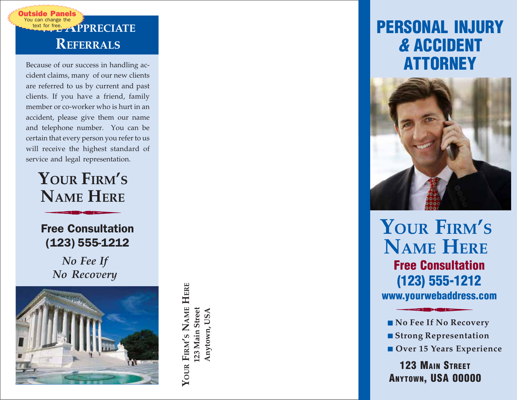

Because of our success in handling accident claims, many of our new clients are referred to us by current and past clients. If you have a friend, family member or co-worker who is hurt in an accident, please give them our name and telephone number. You can be certain that every person you refer to us will receive the highest standard of **EXECUATE**<br>**REFERRALS**<br>**REFERRALS**<br>**REFERRALS**<br>**REFERRALS**<br>**EXECUATE**<br>**REFERRALS**<br>**EXECUATE**<br>**EXECUATE**<br>**EXECUATE**<br>**EXECUATE**<br>**EXECUATE**<br>**EXECUATE**<br>**EXECUATE**<br>**EXECUATE**<br>**EXECUATE**<br>**EXECUATE**<br>**EXECUATE**<br>**EXECUATE**<br>**EXECUAT** 

## **YOUR FIRM ' S NAME HERE**

Free Consultation (123) 555-1212

> *No Fee If No Recovery*



YOUR FIRM'S NAME HERE **YOUR FIRM'S NAME HERE** 123 Main Street **123 Main Street** Anytown, USA **Anytown, USA**

# **PERSONAL INJURY & ACCIDENT ATTORNEY**



**YOUR FIRM ' S NAME HERE Free Consultation (123) 555-1212 www.yourwebaddress.com**

- 
- 
- 

**123 MAIN STREET** ■ **No Fee If No Recovery**<br>■ **Strong Representation**<br>■ **Over 15 Years Experience**<br>**123 MAIN STREET**<br>**ANYTOWN, USA 00000**